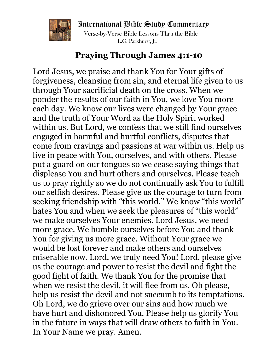International Bible Study Commentary



Verse-by-Verse Bible Lessons Thru the Bible L.G. Parkhurst, Jr.

## **Praying Through James 4:1-10**

Lord Jesus, we praise and thank You for Your gifts of forgiveness, cleansing from sin, and eternal life given to us through Your sacrificial death on the cross. When we ponder the results of our faith in You, we love You more each day. We know our lives were changed by Your grace and the truth of Your Word as the Holy Spirit worked within us. But Lord, we confess that we still find ourselves engaged in harmful and hurtful conflicts, disputes that come from cravings and passions at war within us. Help us live in peace with You, ourselves, and with others. Please put a guard on our tongues so we cease saying things that displease You and hurt others and ourselves. Please teach us to pray rightly so we do not continually ask You to fulfill our selfish desires. Please give us the courage to turn from seeking friendship with "this world." We know "this world" hates You and when we seek the pleasures of "this world" we make ourselves Your enemies. Lord Jesus, we need more grace. We humble ourselves before You and thank You for giving us more grace. Without Your grace we would be lost forever and make others and ourselves miserable now. Lord, we truly need You! Lord, please give us the courage and power to resist the devil and fight the good fight of faith. We thank You for the promise that when we resist the devil, it will flee from us. Oh please, help us resist the devil and not succumb to its temptations. Oh Lord, we do grieve over our sins and how much we have hurt and dishonored You. Please help us glorify You in the future in ways that will draw others to faith in You. In Your Name we pray. Amen.